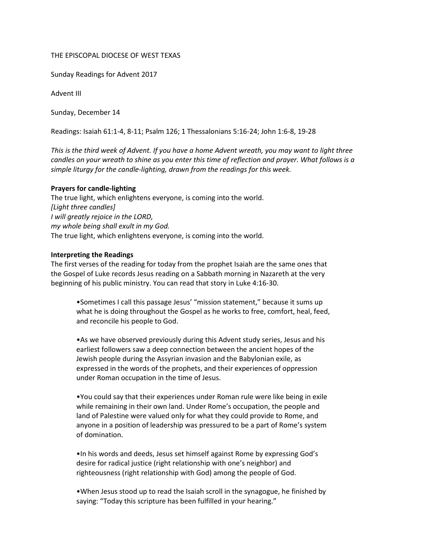## THE EPISCOPAL DIOCESE OF WEST TEXAS

Sunday Readings for Advent 2017

Advent III

Sunday, December 14

Readings: Isaiah 61:1-4, 8-11; Psalm 126; 1 Thessalonians 5:16-24; John 1:6-8, 19-28

*This is the third week of Advent. If you have a home Advent wreath, you may want to light three candles on your wreath to shine as you enter this time of reflection and prayer. What follows is a simple liturgy for the candle-lighting, drawn from the readings for this week.*

## **Prayers for candle-lighting**

The true light, which enlightens everyone, is coming into the world. *[Light three candles] I will greatly rejoice in the LORD, my whole being shall exult in my God.* The true light, which enlightens everyone, is coming into the world.

## **Interpreting the Readings**

The first verses of the reading for today from the prophet Isaiah are the same ones that the Gospel of Luke records Jesus reading on a Sabbath morning in Nazareth at the very beginning of his public ministry. You can read that story in Luke 4:16-30.

•Sometimes I call this passage Jesus' "mission statement," because it sums up what he is doing throughout the Gospel as he works to free, comfort, heal, feed, and reconcile his people to God.

•As we have observed previously during this Advent study series, Jesus and his earliest followers saw a deep connection between the ancient hopes of the Jewish people during the Assyrian invasion and the Babylonian exile, as expressed in the words of the prophets, and their experiences of oppression under Roman occupation in the time of Jesus.

•You could say that their experiences under Roman rule were like being in exile while remaining in their own land. Under Rome's occupation, the people and land of Palestine were valued only for what they could provide to Rome, and anyone in a position of leadership was pressured to be a part of Rome's system of domination.

•In his words and deeds, Jesus set himself against Rome by expressing God's desire for radical justice (right relationship with one's neighbor) and righteousness (right relationship with God) among the people of God.

•When Jesus stood up to read the Isaiah scroll in the synagogue, he finished by saying: "Today this scripture has been fulfilled in your hearing."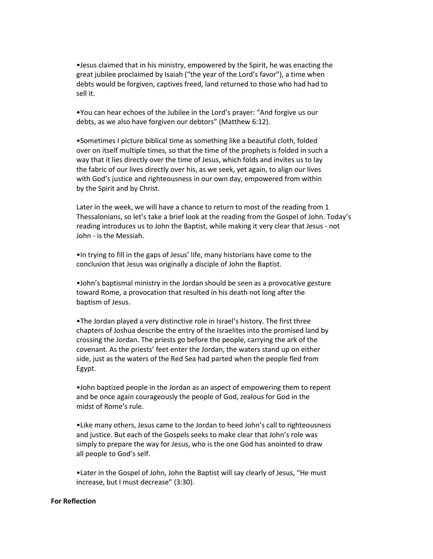•Jesus claimed that in his ministry, empowered by the Spirit, he was enacting the great jubilee proclaimed by Isaiah ("the year of the Lord's favor"), a time when debts would be forgiven, captives freed, land returned to those who had had to sell it.

•You can hear echoes of the Jubilee in the Lord's prayer: "And forgive us our debts, as we also have forgiven our debtors" (Matthew 6:12).

•Sometimes I picture biblical time as something like a beautiful cloth, folded over on itself multiple times, so that the time of the prophets is folded in such a way that it lies directly over the time of Jesus, which folds and invites us to lay the fabric of our lives directly over his, as we seek, yet again, to align our lives with God's justice and righteousness in our own day, empowered from within by the Spirit and by Christ.

Later in the week, we will have a chance to return to most of the reading from 1 Thessalonians, so let's take a brief look at the reading from the Gospel of John. Today's reading introduces us to John the Baptist, while making it very clear that Jesus - not John - is the Messiah.

•In trying to fill in the gaps of Jesus' life, many historians have come to the conclusion that Jesus was originally a disciple of John the Baptist.

•John's baptismal ministry in the Jordan should be seen as a provocative gesture toward Rome, a provocation that resulted in his death not long after the baptism of Jesus.

•The Jordan played a very distinctive role in Israel's history. The first three chapters of Joshua describe the entry of the Israelites into the promised land by crossing the Jordan. The priests go before the people, carrying the ark of the covenant. As the priests' feet enter the Jordan, the waters stand up on either side, just as the waters of the Red Sea had parted when the people fled from Egypt.

•John baptized people in the Jordan as an aspect of empowering them to repent and be once again courageously the people of God, zealous for God in the midst of Rome's rule.

•Like many others, Jesus came to the Jordan to heed John's call to righteousness and justice. But each of the Gospels seeks to make clear that John's role was simply to prepare the way for Jesus, who is the one God has anointed to draw all people to God's self.

•Later in the Gospel of John, John the Baptist will say clearly of Jesus, "He must increase, but I must decrease" (3:30).

## **For Reflection**